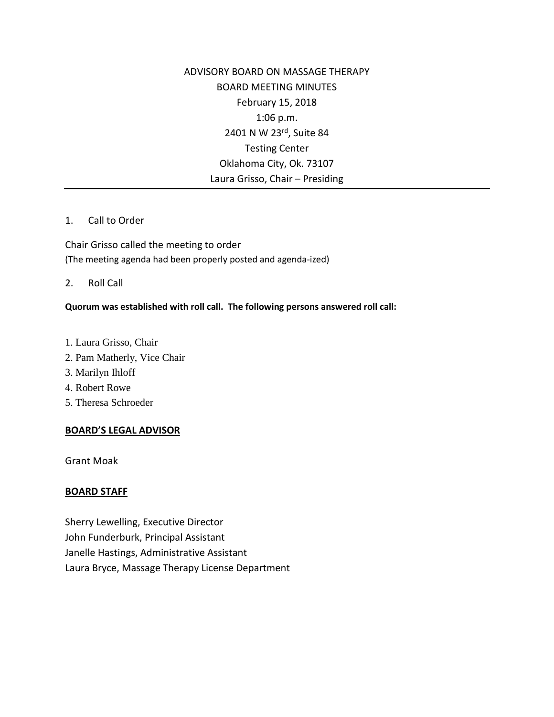ADVISORY BOARD ON MASSAGE THERAPY BOARD MEETING MINUTES February 15, 2018 1:06 p.m. 2401 N W 23rd, Suite 84 Testing Center Oklahoma City, Ok. 73107 Laura Grisso, Chair – Presiding

#### 1. Call to Order

Chair Grisso called the meeting to order (The meeting agenda had been properly posted and agenda-ized)

2. Roll Call

# **Quorum was established with roll call. The following persons answered roll call:**

- 1. Laura Grisso, Chair
- 2. Pam Matherly, Vice Chair
- 3. Marilyn Ihloff
- 4. Robert Rowe
- 5. Theresa Schroeder

# **BOARD'S LEGAL ADVISOR**

Grant Moak

# **BOARD STAFF**

Sherry Lewelling, Executive Director John Funderburk, Principal Assistant Janelle Hastings, Administrative Assistant Laura Bryce, Massage Therapy License Department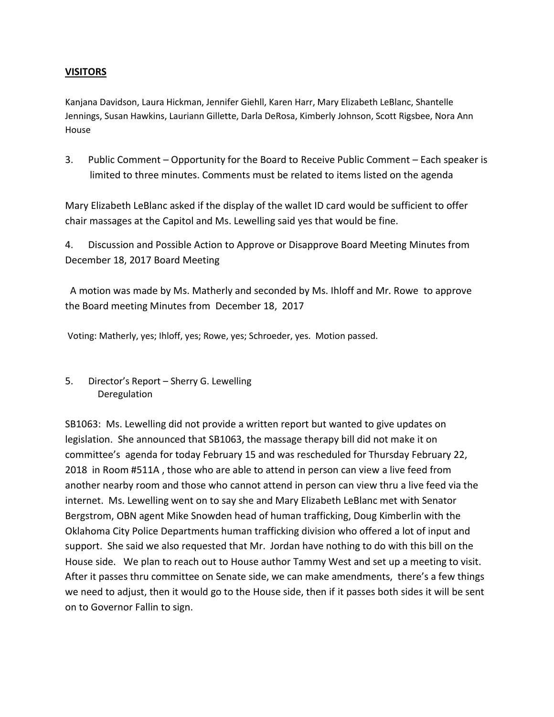# **VISITORS**

Kanjana Davidson, Laura Hickman, Jennifer Giehll, Karen Harr, Mary Elizabeth LeBlanc, Shantelle Jennings, Susan Hawkins, Lauriann Gillette, Darla DeRosa, Kimberly Johnson, Scott Rigsbee, Nora Ann House

3. Public Comment – Opportunity for the Board to Receive Public Comment – Each speaker is limited to three minutes. Comments must be related to items listed on the agenda

Mary Elizabeth LeBlanc asked if the display of the wallet ID card would be sufficient to offer chair massages at the Capitol and Ms. Lewelling said yes that would be fine.

4. Discussion and Possible Action to Approve or Disapprove Board Meeting Minutes from December 18, 2017 Board Meeting

A motion was made by Ms. Matherly and seconded by Ms. Ihloff and Mr. Rowe to approve the Board meeting Minutes from December 18, 2017

Voting: Matherly, yes; Ihloff, yes; Rowe, yes; Schroeder, yes. Motion passed.

5. Director's Report – Sherry G. Lewelling Deregulation

SB1063: Ms. Lewelling did not provide a written report but wanted to give updates on legislation. She announced that SB1063, the massage therapy bill did not make it on committee's agenda for today February 15 and was rescheduled for Thursday February 22, 2018 in Room #511A , those who are able to attend in person can view a live feed from another nearby room and those who cannot attend in person can view thru a live feed via the internet. Ms. Lewelling went on to say she and Mary Elizabeth LeBlanc met with Senator Bergstrom, OBN agent Mike Snowden head of human trafficking, Doug Kimberlin with the Oklahoma City Police Departments human trafficking division who offered a lot of input and support. She said we also requested that Mr. Jordan have nothing to do with this bill on the House side. We plan to reach out to House author Tammy West and set up a meeting to visit. After it passes thru committee on Senate side, we can make amendments, there's a few things we need to adjust, then it would go to the House side, then if it passes both sides it will be sent on to Governor Fallin to sign.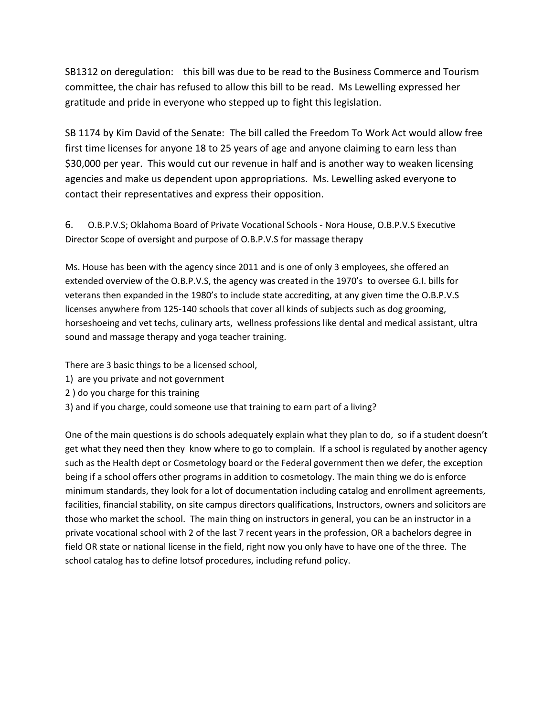SB1312 on deregulation: this bill was due to be read to the Business Commerce and Tourism committee, the chair has refused to allow this bill to be read. Ms Lewelling expressed her gratitude and pride in everyone who stepped up to fight this legislation.

SB 1174 by Kim David of the Senate: The bill called the Freedom To Work Act would allow free first time licenses for anyone 18 to 25 years of age and anyone claiming to earn less than \$30,000 per year. This would cut our revenue in half and is another way to weaken licensing agencies and make us dependent upon appropriations. Ms. Lewelling asked everyone to contact their representatives and express their opposition.

6. O.B.P.V.S; Oklahoma Board of Private Vocational Schools - Nora House, O.B.P.V.S Executive Director Scope of oversight and purpose of O.B.P.V.S for massage therapy

Ms. House has been with the agency since 2011 and is one of only 3 employees, she offered an extended overview of the O.B.P.V.S, the agency was created in the 1970's to oversee G.I. bills for veterans then expanded in the 1980's to include state accrediting, at any given time the O.B.P.V.S licenses anywhere from 125-140 schools that cover all kinds of subjects such as dog grooming, horseshoeing and vet techs, culinary arts, wellness professions like dental and medical assistant, ultra sound and massage therapy and yoga teacher training.

There are 3 basic things to be a licensed school,

- 1) are you private and not government
- 2 ) do you charge for this training
- 3) and if you charge, could someone use that training to earn part of a living?

One of the main questions is do schools adequately explain what they plan to do, so if a student doesn't get what they need then they know where to go to complain. If a school is regulated by another agency such as the Health dept or Cosmetology board or the Federal government then we defer, the exception being if a school offers other programs in addition to cosmetology. The main thing we do is enforce minimum standards, they look for a lot of documentation including catalog and enrollment agreements, facilities, financial stability, on site campus directors qualifications, Instructors, owners and solicitors are those who market the school. The main thing on instructors in general, you can be an instructor in a private vocational school with 2 of the last 7 recent years in the profession, OR a bachelors degree in field OR state or national license in the field, right now you only have to have one of the three. The school catalog has to define lotsof procedures, including refund policy.